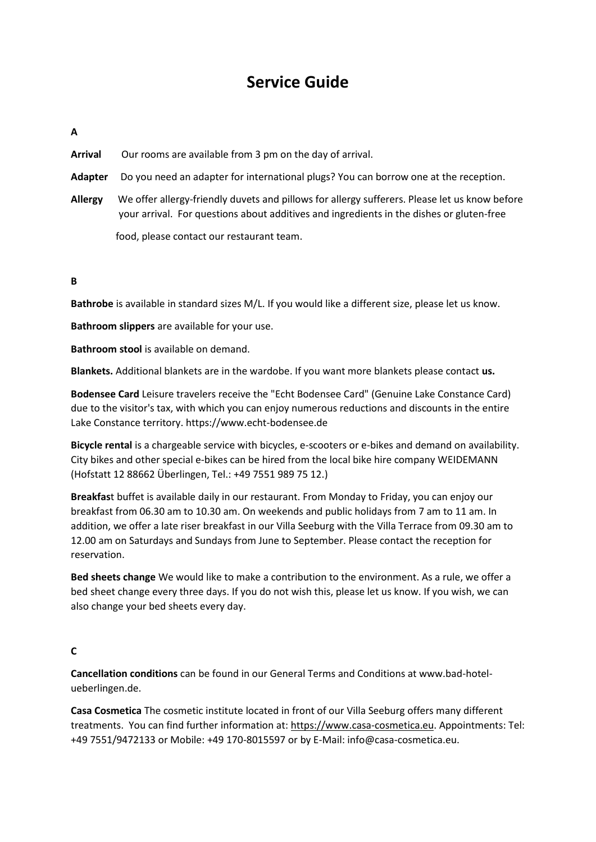# **Service Guide**

# **A**

**Arrival** Our rooms are available from 3 pm on the day of arrival.

- **Adapter** Do you need an adapter for international plugs? You can borrow one at the reception.
- **Allergy** We offer allergy-friendly duvets and pillows for allergy sufferers. Please let us know before your arrival. For questions about additives and ingredients in the dishes or gluten-free

food, please contact our restaurant team.

# **B**

**Bathrobe** is available in standard sizes M/L. If you would like a different size, please let us know.

**Bathroom slippers** are available for your use.

**Bathroom stool** is available on demand.

**Blankets.** Additional blankets are in the wardobe. If you want more blankets please contact **us.**

**Bodensee Card** Leisure travelers receive the "Echt Bodensee Card" (Genuine Lake Constance Card) due to the visitor's tax, with which you can enjoy numerous reductions and discounts in the entire Lake Constance territory. https://www.echt-bodensee.de

**Bicycle rental** is a chargeable service with bicycles, e-scooters or e-bikes and demand on availability. City bikes and other special e-bikes can be hired from the local bike hire company WEIDEMANN (Hofstatt 12 88662 Überlingen, Tel.: +49 7551 989 75 12.)

**Breakfas**t buffet is available daily in our restaurant. From Monday to Friday, you can enjoy our breakfast from 06.30 am to 10.30 am. On weekends and public holidays from 7 am to 11 am. In addition, we offer a late riser breakfast in our Villa Seeburg with the Villa Terrace from 09.30 am to 12.00 am on Saturdays and Sundays from June to September. Please contact the reception for reservation.

**Bed sheets change** We would like to make a contribution to the environment. As a rule, we offer a bed sheet change every three days. If you do not wish this, please let us know. If you wish, we can also change your bed sheets every day.

#### **C**

**Cancellation conditions** can be found in our General Terms and Conditions at www.bad-hotelueberlingen.de.

**Casa Cosmetica** The cosmetic institute located in front of our Villa Seeburg offers many different treatments. You can find further information at: [https://www.casa-cosmetica.eu.](https://www.casa-cosmetica.eu/) Appointments: Tel: +49 7551/9472133 or Mobile: +49 170-8015597 or by E-Mail: info@casa-cosmetica.eu.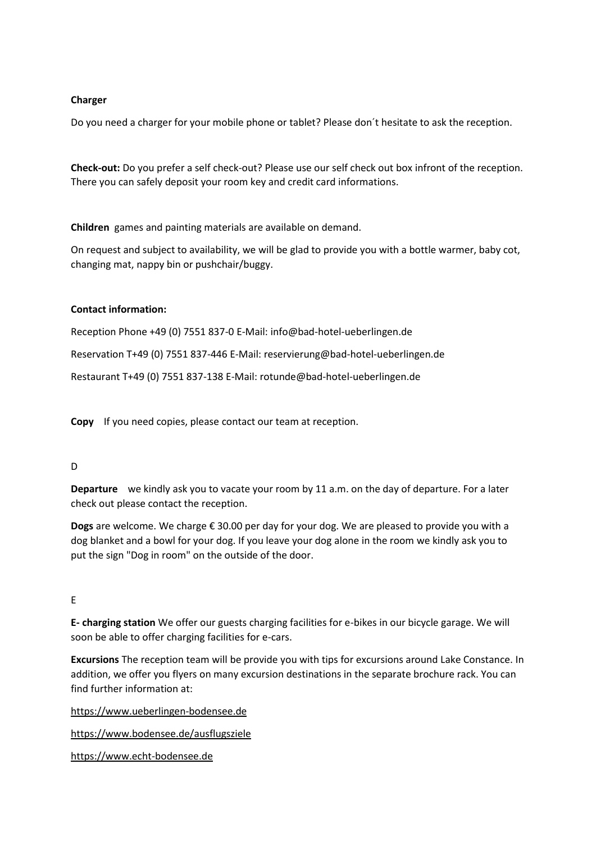## **Charger**

Do you need a charger for your mobile phone or tablet? Please don´t hesitate to ask the reception.

**Check-out:** Do you prefer a self check-out? Please use our self check out box infront of the reception. There you can safely deposit your room key and credit card informations.

**Children** games and painting materials are available on demand.

On request and subject to availability, we will be glad to provide you with a bottle warmer, baby cot, changing mat, nappy bin or pushchair/buggy.

# **Contact information:**

Reception Phone +49 (0) 7551 837-0 E-Mail: info@bad-hotel-ueberlingen.de

Reservation T+49 (0) 7551 837-446 E-Mail: reservierung@bad-hotel-ueberlingen.de

Restaurant T+49 (0) 7551 837-138 E-Mail: rotunde@bad-hotel-ueberlingen.de

**Copy** If you need copies, please contact our team at reception.

# D

**Departure** we kindly ask you to vacate your room by 11 a.m. on the day of departure. For a later check out please contact the reception.

**Dogs** are welcome. We charge € 30.00 per day for your dog. We are pleased to provide you with a dog blanket and a bowl for your dog. If you leave your dog alone in the room we kindly ask you to put the sign "Dog in room" on the outside of the door.

# E

**E- charging station** We offer our guests charging facilities for e-bikes in our bicycle garage. We will soon be able to offer charging facilities for e-cars.

**Excursions** The reception team will be provide you with tips for excursions around Lake Constance. In addition, we offer you flyers on many excursion destinations in the separate brochure rack. You can find further information at:

[https://www.ueberlingen-bodensee.de](https://www.ueberlingen-bodensee.de/)

<https://www.bodensee.de/ausflugsziele>

[https://www.echt-bodensee.de](https://www.echt-bodensee.de/)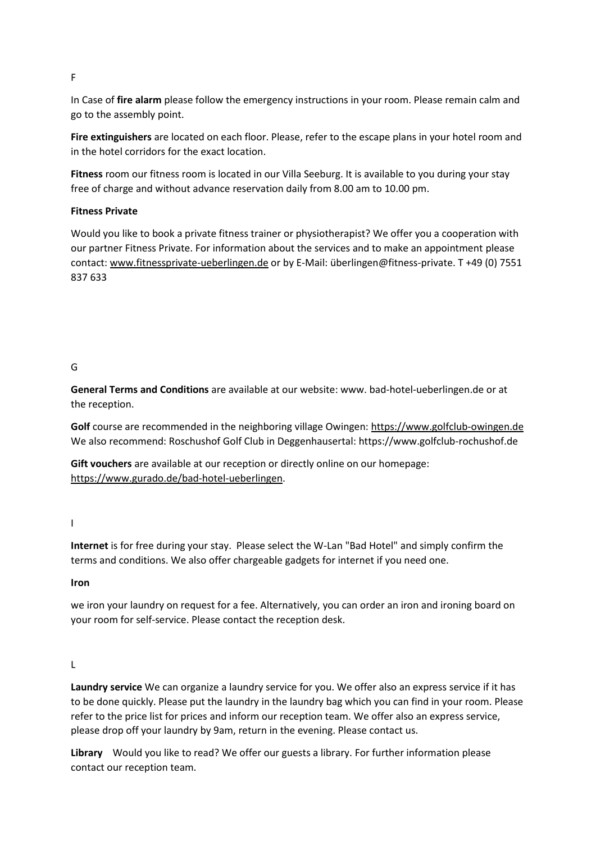F

In Case of **fire alarm** please follow the emergency instructions in your room. Please remain calm and go to the assembly point.

**Fire extinguishers** are located on each floor. Please, refer to the escape plans in your hotel room and in the hotel corridors for the exact location.

**Fitness** room our fitness room is located in our Villa Seeburg. It is available to you during your stay free of charge and without advance reservation daily from 8.00 am to 10.00 pm.

# **Fitness Private**

Would you like to book a private fitness trainer or physiotherapist? We offer you a cooperation with our partner Fitness Private. For information about the services and to make an appointment please contact: [www.fitnessprivate-ueberlingen.de](http://www.fitnessprivate-ueberlingen.de/) or by E-Mail: überlingen@fitness-private. T +49 (0) 7551 837 633

# G

**General Terms and Conditions** are available at our website: www. bad-hotel-ueberlingen.de or at the reception.

Golf course are recommended in the neighboring village Owingen: [https://www.golfclub-owingen.de](https://www.golfclub-owingen.de/) We also recommend: Roschushof Golf Club in Deggenhausertal: https://www.golfclub-rochushof.de

**Gift vouchers** are available at our reception or directly online on our homepage: [https://www.gurado.de/bad-hotel-ueberlingen.](https://www.gurado.de/bad-hotel-ueberlingen)

I

**Internet** is for free during your stay. Please select the W-Lan "Bad Hotel" and simply confirm the terms and conditions. We also offer chargeable gadgets for internet if you need one.

**Iron**

we iron your laundry on request for a fee. Alternatively, you can order an iron and ironing board on your room for self-service. Please contact the reception desk.

#### L

**Laundry service** We can organize a laundry service for you. We offer also an express service if it has to be done quickly. Please put the laundry in the laundry bag which you can find in your room. Please refer to the price list for prices and inform our reception team. We offer also an express service, please drop off your laundry by 9am, return in the evening. Please contact us.

**Library** Would you like to read? We offer our guests a library. For further information please contact our reception team.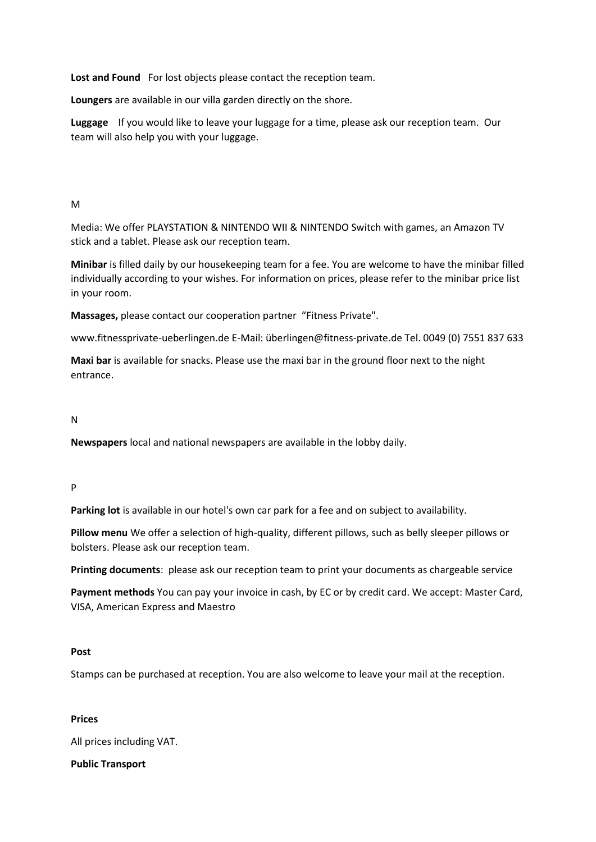**Lost and Found** For lost objects please contact the reception team.

**Loungers** are available in our villa garden directly on the shore.

**Luggage** If you would like to leave your luggage for a time, please ask our reception team. Our team will also help you with your luggage.

# M

Media: We offer PLAYSTATION & NINTENDO WII & NINTENDO Switch with games, an Amazon TV stick and a tablet. Please ask our reception team.

**Minibar** is filled daily by our housekeeping team for a fee. You are welcome to have the minibar filled individually according to your wishes. For information on prices, please refer to the minibar price list in your room.

**Massages,** please contact our cooperation partner "Fitness Private".

www.fitnessprivate-ueberlingen.de E-Mail: überlingen@fitness-private.de Tel. 0049 (0) 7551 837 633

**Maxi bar** is available for snacks. Please use the maxi bar in the ground floor next to the night entrance.

# N

**Newspapers** local and national newspapers are available in the lobby daily.

#### P

**Parking lot** is available in our hotel's own car park for a fee and on subject to availability.

**Pillow menu** We offer a selection of high-quality, different pillows, such as belly sleeper pillows or bolsters. Please ask our reception team.

**Printing documents**: please ask our reception team to print your documents as chargeable service

**Payment methods** You can pay your invoice in cash, by EC or by credit card. We accept: Master Card, VISA, American Express and Maestro

#### **Post**

Stamps can be purchased at reception. You are also welcome to leave your mail at the reception.

#### **Prices**

All prices including VAT.

#### **Public Transport**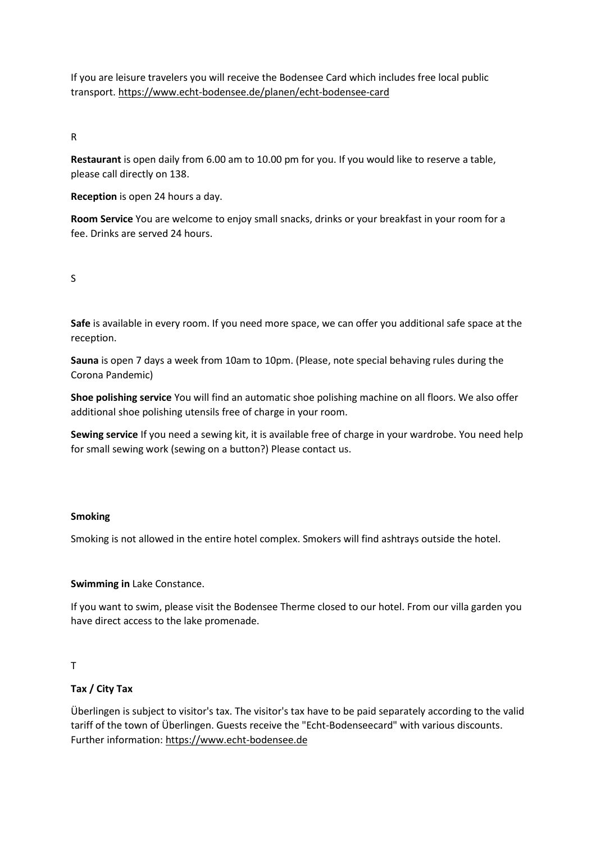If you are leisure travelers you will receive the Bodensee Card which includes free local public transport.<https://www.echt-bodensee.de/planen/echt-bodensee-card>

## R

**Restaurant** is open daily from 6.00 am to 10.00 pm for you. If you would like to reserve a table, please call directly on 138.

**Reception** is open 24 hours a day.

**Room Service** You are welcome to enjoy small snacks, drinks or your breakfast in your room for a fee. Drinks are served 24 hours.

# S

**Safe** is available in every room. If you need more space, we can offer you additional safe space at the reception.

**Sauna** is open 7 days a week from 10am to 10pm. (Please, note special behaving rules during the Corona Pandemic)

**Shoe polishing service** You will find an automatic shoe polishing machine on all floors. We also offer additional shoe polishing utensils free of charge in your room.

**Sewing service** If you need a sewing kit, it is available free of charge in your wardrobe. You need help for small sewing work (sewing on a button?) Please contact us.

#### **Smoking**

Smoking is not allowed in the entire hotel complex. Smokers will find ashtrays outside the hotel.

#### **Swimming in** Lake Constance.

If you want to swim, please visit the Bodensee Therme closed to our hotel. From our villa garden you have direct access to the lake promenade.

#### T

#### **Tax / City Tax**

Überlingen is subject to visitor's tax. The visitor's tax have to be paid separately according to the valid tariff of the town of Überlingen. Guests receive the "Echt-Bodenseecard" with various discounts. Further information: [https://www.echt-bodensee.de](https://www.echt-bodensee.de/)